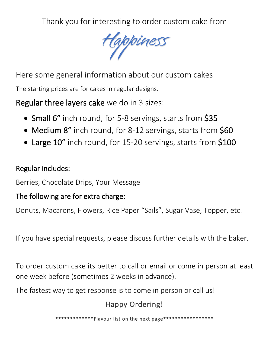Thank you for interesting to order custom cake from

Happiness

Here some general information about our custom cakes The starting prices are for cakes in regular designs.

Regular three layers cake we do in 3 sizes:

- Small 6" inch round, for 5-8 servings, starts from \$35
- Medium 8" inch round, for 8-12 servings, starts from \$60
- Large 10" inch round, for 15-20 servings, starts from \$100

#### Regular includes:

Berries, Chocolate Drips, Your Message

#### The following are for extra charge:

Donuts, Macarons, Flowers, Rice Paper "Sails", Sugar Vase, Topper, etc.

If you have special requests, please discuss further details with the baker.

To order custom cake its better to call or email or come in person at least one week before (sometimes 2 weeks in advance).

The fastest way to get response is to come in person or call us!

# Happy Ordering!

\*\*\*\*\*\*\*\*\*\*\*\*\*Flavour list on the next page\*\*\*\*\*\*\*\*\*\*\*\*\*\*\*\*\*\*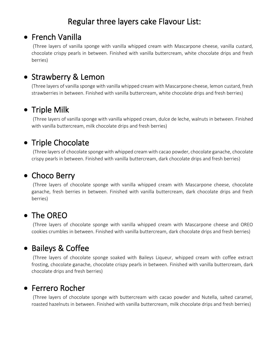# Regular three layers cake Flavour List:

## • French Vanilla

(Three layers of vanilla sponge with vanilla whipped cream with Mascarpone cheese, vanilla custard, chocolate crispy pearls in between. Finished with vanilla buttercream, white chocolate drips and fresh berries)

• Strawberry & Lemon<br>(Three layers of vanilla sponge with vanilla whipped cream with Mascarpone cheese, lemon custard, fresh) strawberries in between. Finished with vanilla buttercream, white chocolate drips and fresh berries)

### • Triple Milk

(Three layers of vanilla sponge with vanilla whipped cream, dulce de leche, walnuts in between. Finished with vanilla buttercream, milk chocolate drips and fresh berries)

### • Triple Chocolate

(Three layers of chocolate sponge with whipped cream with cacao powder, chocolate ganache, chocolate crispy pearls in between. Finished with vanilla buttercream, dark chocolate drips and fresh berries)

## • Choco Berry

(Three layers of chocolate sponge with vanilla whipped cream with Mascarpone cheese, chocolate ganache, fresh berries in between. Finished with vanilla buttercream, dark chocolate drips and fresh berries)

## • The OREO

(Three layers of chocolate sponge with vanilla whipped cream with Mascarpone cheese and OREO cookies crumbles in between. Finished with vanilla buttercream, dark chocolate drips and fresh berries)

## • Baileys & Coffee

(Three layers of chocolate sponge soaked with Baileys Liqueur, whipped cream with coffee extract frosting, chocolate ganache, chocolate crispy pearls in between. Finished with vanilla buttercream, dark chocolate drips and fresh berries)

#### • Ferrero Rocher

(Three layers of chocolate sponge with buttercream with cacao powder and Nutella, salted caramel, roasted hazelnuts in between. Finished with vanilla buttercream, milk chocolate drips and fresh berries)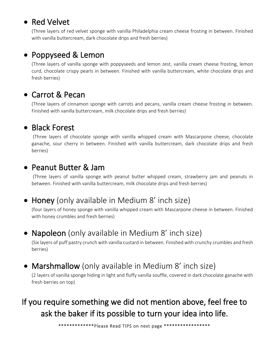## • Red Velvet

(Three layers of red velvet sponge with vanilla Philadelphia cream cheese frosting in between. Finished with vanilla buttercream, dark chocolate drips and fresh berries)

### • Poppyseed & Lemon

(Three layers of vanilla sponge with poppyseeds and lemon zest, vanilla cream cheese frosting, lemon curd, chocolate crispy pearls in between. Finished with vanilla buttercream, white chocolate drips and fresh berries)

### • Carrot & Pecan

(Three layers of cinnamon sponge with carrots and pecans, vanilla cream cheese frosting in between. Finished with vanilla buttercream, milk chocolate drips and fresh berries)

#### • Black Forest

(Three layers of chocolate sponge with vanilla whipped cream with Mascarpone cheese, chocolate ganache, sour cherry in between. Finished with vanilla buttercream, dark chocolate drips and fresh berries)

#### • Peanut Butter & Jam

(Three layers of vanilla sponge with peanut butter whipped cream, strawberry jam and peanuts in between. Finished with vanilla buttercream, milk chocolate drips and fresh berries)

## • Honey (only available in Medium 8' inch size)

(four layers of honey sponge with vanilla whipped cream with Mascarpone cheese in between. Finished with honey crumbles and fresh berries)

# • Napoleon (only available in Medium 8' inch size)

(Six layers of puff pastry crunch with vanilla custard in between. Finished with crunchy crumbles and fresh berries)

#### • Marshmallow (only available in Medium 8' inch size)

(2 layers of vanilla sponge hiding in light and fluffy vanilla souffle, covered in dark chocolate ganache with fresh berries on top)

# If you require something we did not mention above, feel free to ask the baker if its possible to turn your idea into life.

\*\*\*\*\*\*\*\*\*\*\*\*\*Please Read TIPS on next page \*\*\*\*\*\*\*\*\*\*\*\*\*\*\*\*\*\*